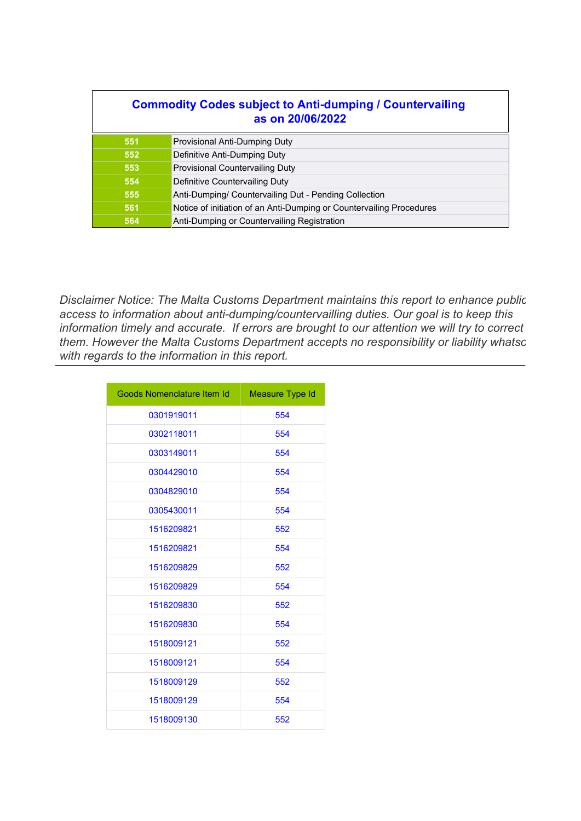| <b>Commodity Codes subject to Anti-dumping / Countervailing</b><br>as on 20/06/2022 |                                                                      |
|-------------------------------------------------------------------------------------|----------------------------------------------------------------------|
| 551                                                                                 | Provisional Anti-Dumping Duty                                        |
| 552                                                                                 | Definitive Anti-Dumping Duty                                         |
| 553                                                                                 | <b>Provisional Countervailing Duty</b>                               |
| 554                                                                                 | Definitive Countervailing Duty                                       |
| 555                                                                                 | Anti-Dumping/ Countervailing Dut - Pending Collection                |
| 561                                                                                 | Notice of initiation of an Anti-Dumping or Countervailing Procedures |
| 564                                                                                 | Anti-Dumping or Countervailing Registration                          |

*Disclaimer Notice: The Malta Customs Department maintains this report to enhance public access to information about anti-dumping/countervailling duties. Our goal is to keep this information timely and accurate. If errors are brought to our attention we will try to correct* them. However the Malta Customs Department accepts no responsibility or liability whatsc *with regards to the information in this report.*

| Goods Nomenclature Item Id | Measure Type Id |
|----------------------------|-----------------|
| 0301919011                 | 554             |
| 0302118011                 | 554             |
| 0303149011                 | 554             |
| 0304429010                 | 554             |
| 0304829010                 | 554             |
| 0305430011                 | 554             |
| 1516209821                 | 552             |
| 1516209821                 | 554             |
| 1516209829                 | 552             |
| 1516209829                 | 554             |
| 1516209830                 | 552             |
| 1516209830                 | 554             |
| 1518009121                 | 552             |
| 1518009121                 | 554             |
| 1518009129                 | 552             |
| 1518009129                 | 554             |
| 1518009130                 | 552             |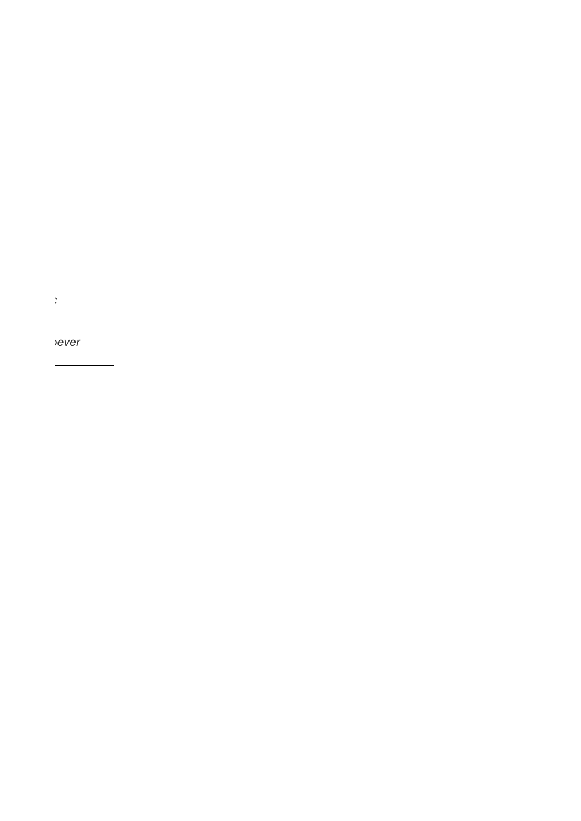*them. However the Malta Customs Department accepts no responsibility or liability whatsoever*

*Disclaimer Notice: The Malta Customs Department maintains this report to enhance public*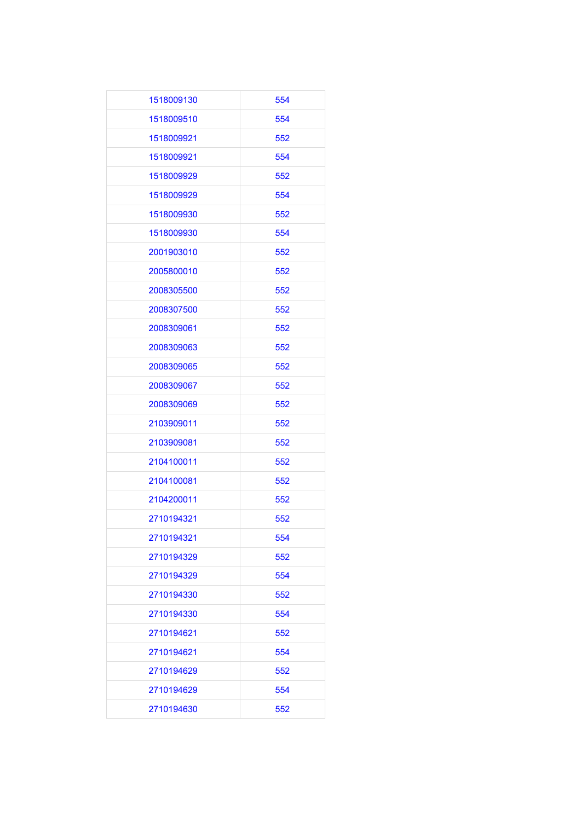| 1518009130 | 554 |
|------------|-----|
| 1518009510 | 554 |
| 1518009921 | 552 |
| 1518009921 | 554 |
| 1518009929 | 552 |
| 1518009929 | 554 |
| 1518009930 | 552 |
| 1518009930 | 554 |
| 2001903010 | 552 |
| 2005800010 | 552 |
| 2008305500 | 552 |
| 2008307500 | 552 |
| 2008309061 | 552 |
| 2008309063 | 552 |
| 2008309065 | 552 |
| 2008309067 | 552 |
| 2008309069 | 552 |
| 2103909011 | 552 |
| 2103909081 | 552 |
| 2104100011 | 552 |
| 2104100081 | 552 |
| 2104200011 | 552 |
| 2710194321 | 552 |
| 2710194321 | 554 |
| 2710194329 | 552 |
| 2710194329 | 554 |
| 2710194330 | 552 |
| 2710194330 | 554 |
| 2710194621 | 552 |
| 2710194621 | 554 |
| 2710194629 | 552 |
| 2710194629 | 554 |
| 2710194630 | 552 |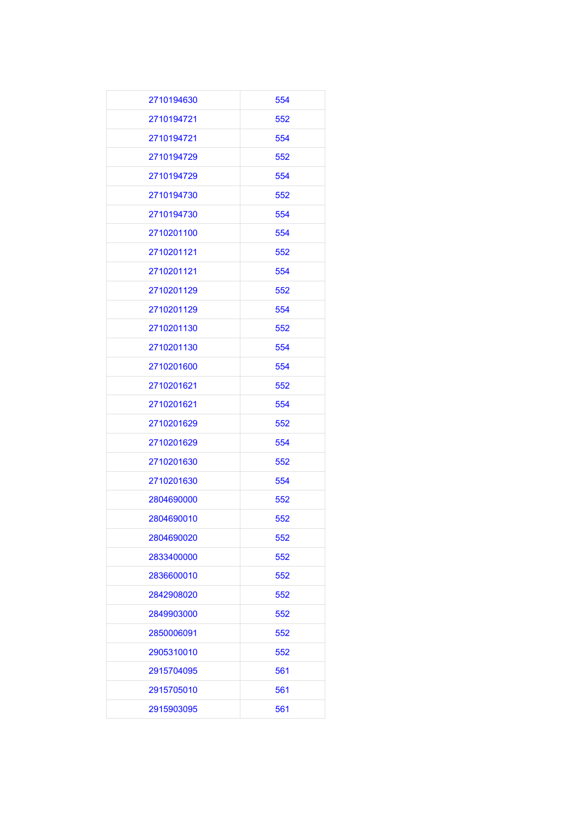| 2710194630 | 554 |
|------------|-----|
| 2710194721 | 552 |
| 2710194721 | 554 |
| 2710194729 | 552 |
| 2710194729 | 554 |
| 2710194730 | 552 |
| 2710194730 | 554 |
| 2710201100 | 554 |
| 2710201121 | 552 |
| 2710201121 | 554 |
| 2710201129 | 552 |
| 2710201129 | 554 |
| 2710201130 | 552 |
| 2710201130 | 554 |
| 2710201600 | 554 |
| 2710201621 | 552 |
| 2710201621 | 554 |
| 2710201629 | 552 |
| 2710201629 | 554 |
| 2710201630 | 552 |
| 2710201630 | 554 |
| 2804690000 | 552 |
| 2804690010 | 552 |
| 2804690020 | 552 |
| 2833400000 | 552 |
| 2836600010 | 552 |
| 2842908020 | 552 |
| 2849903000 | 552 |
| 2850006091 | 552 |
| 2905310010 | 552 |
| 2915704095 | 561 |
| 2915705010 | 561 |
| 2915903095 | 561 |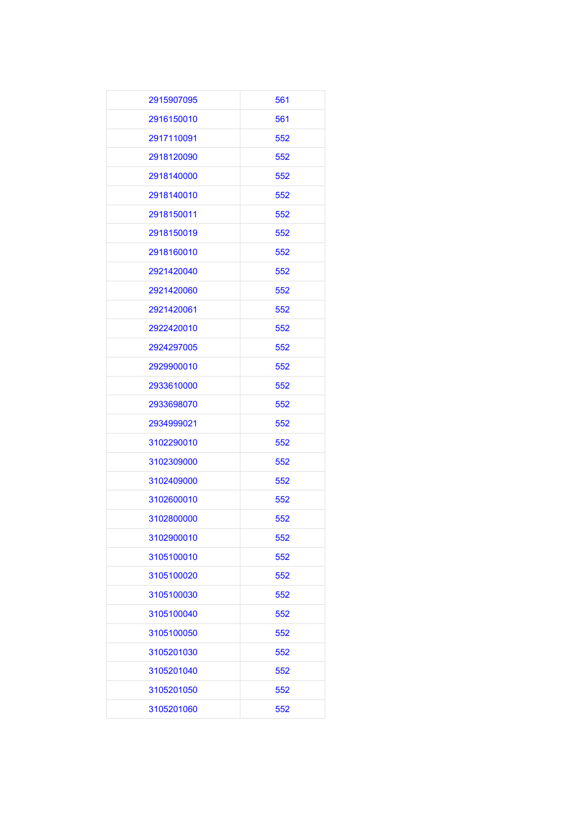| 2915907095 | 561 |
|------------|-----|
| 2916150010 | 561 |
| 2917110091 | 552 |
| 2918120090 | 552 |
| 2918140000 | 552 |
| 2918140010 | 552 |
| 2918150011 | 552 |
| 2918150019 | 552 |
| 2918160010 | 552 |
| 2921420040 | 552 |
| 2921420060 | 552 |
| 2921420061 | 552 |
| 2922420010 | 552 |
| 2924297005 | 552 |
| 2929900010 | 552 |
| 2933610000 | 552 |
| 2933698070 | 552 |
| 2934999021 | 552 |
| 3102290010 | 552 |
| 3102309000 | 552 |
| 3102409000 | 552 |
| 3102600010 | 552 |
| 3102800000 | 552 |
| 3102900010 | 552 |
| 3105100010 | 552 |
| 3105100020 | 552 |
| 3105100030 | 552 |
| 3105100040 | 552 |
| 3105100050 | 552 |
| 3105201030 | 552 |
| 3105201040 | 552 |
| 3105201050 | 552 |
| 3105201060 | 552 |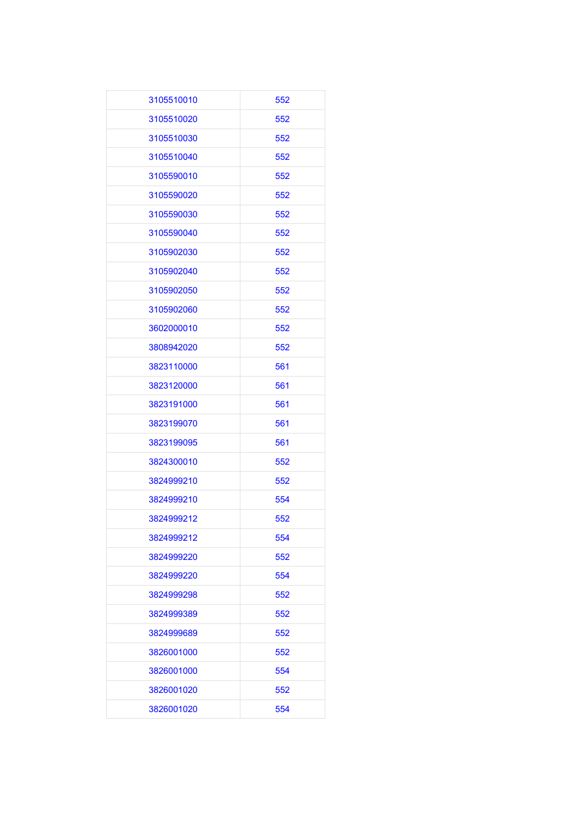| 3105510010 | 552 |
|------------|-----|
| 3105510020 | 552 |
| 3105510030 | 552 |
| 3105510040 | 552 |
| 3105590010 | 552 |
| 3105590020 | 552 |
| 3105590030 | 552 |
| 3105590040 | 552 |
| 3105902030 | 552 |
| 3105902040 | 552 |
| 3105902050 | 552 |
| 3105902060 | 552 |
| 3602000010 | 552 |
| 3808942020 | 552 |
| 3823110000 | 561 |
| 3823120000 | 561 |
| 3823191000 | 561 |
| 3823199070 | 561 |
| 3823199095 | 561 |
| 3824300010 | 552 |
| 3824999210 | 552 |
| 3824999210 | 554 |
| 3824999212 | 552 |
| 3824999212 | 554 |
| 3824999220 | 552 |
| 3824999220 | 554 |
| 3824999298 | 552 |
| 3824999389 | 552 |
| 3824999689 | 552 |
| 3826001000 | 552 |
| 3826001000 | 554 |
| 3826001020 | 552 |
| 3826001020 | 554 |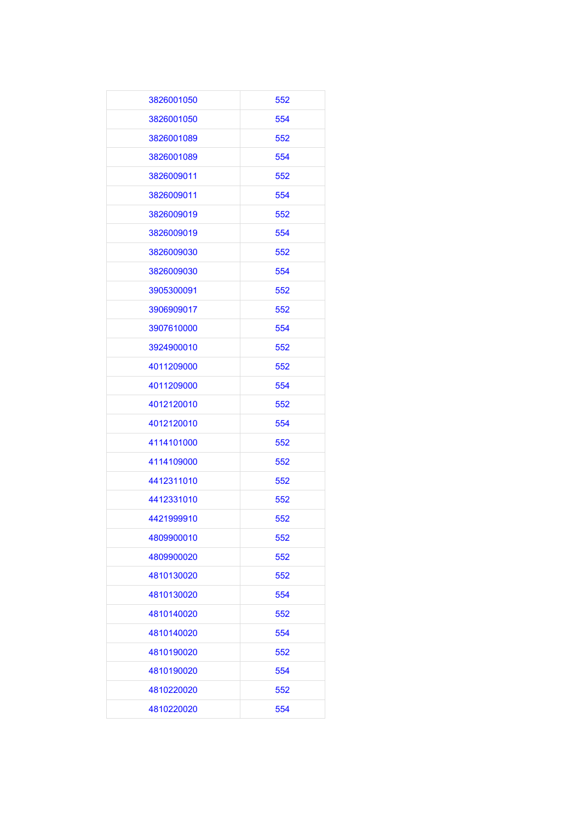| 3826001050 | 552 |
|------------|-----|
| 3826001050 | 554 |
| 3826001089 | 552 |
| 3826001089 | 554 |
| 3826009011 | 552 |
| 3826009011 | 554 |
| 3826009019 | 552 |
| 3826009019 | 554 |
| 3826009030 | 552 |
| 3826009030 | 554 |
| 3905300091 | 552 |
| 3906909017 | 552 |
| 3907610000 | 554 |
| 3924900010 | 552 |
| 4011209000 | 552 |
| 4011209000 | 554 |
| 4012120010 | 552 |
| 4012120010 | 554 |
| 4114101000 | 552 |
| 4114109000 | 552 |
| 4412311010 | 552 |
| 4412331010 | 552 |
| 4421999910 | 552 |
| 4809900010 | 552 |
| 4809900020 | 552 |
| 4810130020 | 552 |
| 4810130020 | 554 |
| 4810140020 | 552 |
| 4810140020 | 554 |
| 4810190020 | 552 |
| 4810190020 | 554 |
| 4810220020 | 552 |
| 4810220020 | 554 |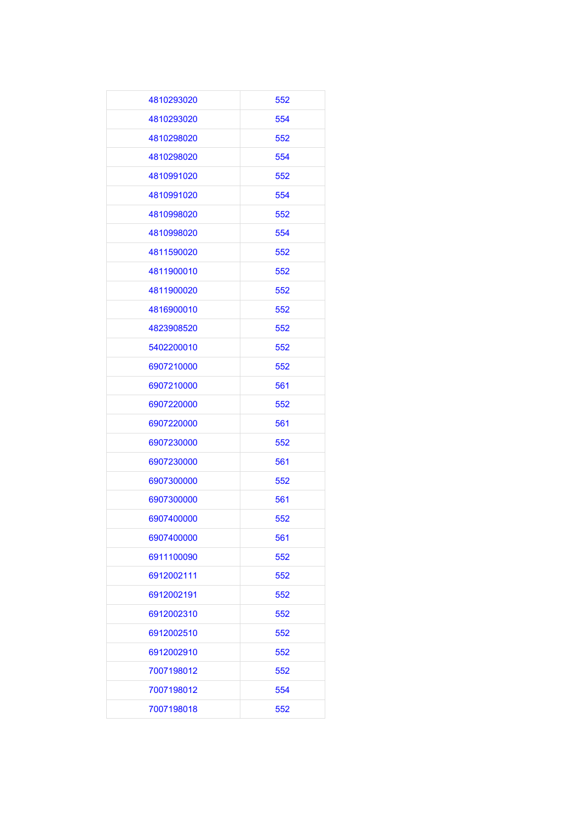| 4810293020 | 552 |
|------------|-----|
| 4810293020 | 554 |
| 4810298020 | 552 |
| 4810298020 | 554 |
| 4810991020 | 552 |
| 4810991020 | 554 |
| 4810998020 | 552 |
| 4810998020 | 554 |
| 4811590020 | 552 |
| 4811900010 | 552 |
| 4811900020 | 552 |
| 4816900010 | 552 |
| 4823908520 | 552 |
| 5402200010 | 552 |
| 6907210000 | 552 |
| 6907210000 | 561 |
| 6907220000 | 552 |
| 6907220000 | 561 |
| 6907230000 | 552 |
| 6907230000 | 561 |
| 6907300000 | 552 |
| 6907300000 | 561 |
| 6907400000 | 552 |
| 6907400000 | 561 |
| 6911100090 | 552 |
| 6912002111 | 552 |
| 6912002191 | 552 |
| 6912002310 | 552 |
| 6912002510 | 552 |
| 6912002910 | 552 |
| 7007198012 | 552 |
| 7007198012 | 554 |
| 7007198018 | 552 |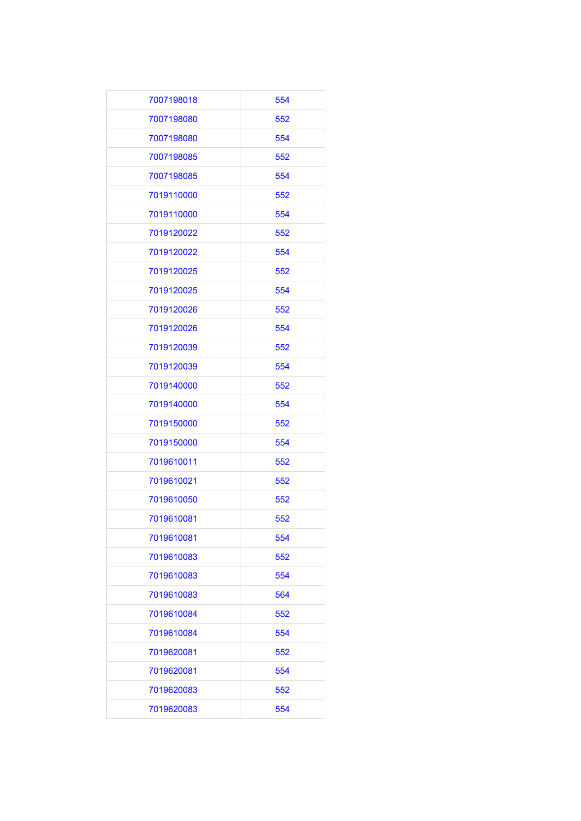| 7007198018 | 554 |
|------------|-----|
| 7007198080 | 552 |
| 7007198080 | 554 |
| 7007198085 | 552 |
| 7007198085 | 554 |
| 7019110000 | 552 |
| 7019110000 | 554 |
| 7019120022 | 552 |
| 7019120022 | 554 |
| 7019120025 | 552 |
| 7019120025 | 554 |
| 7019120026 | 552 |
| 7019120026 | 554 |
| 7019120039 | 552 |
| 7019120039 | 554 |
| 7019140000 | 552 |
| 7019140000 | 554 |
| 7019150000 | 552 |
| 7019150000 | 554 |
| 7019610011 | 552 |
| 7019610021 | 552 |
| 7019610050 | 552 |
| 7019610081 | 552 |
| 7019610081 | 554 |
| 7019610083 | 552 |
| 7019610083 | 554 |
| 7019610083 | 564 |
| 7019610084 | 552 |
| 7019610084 | 554 |
| 7019620081 | 552 |
| 7019620081 | 554 |
| 7019620083 | 552 |
| 7019620083 | 554 |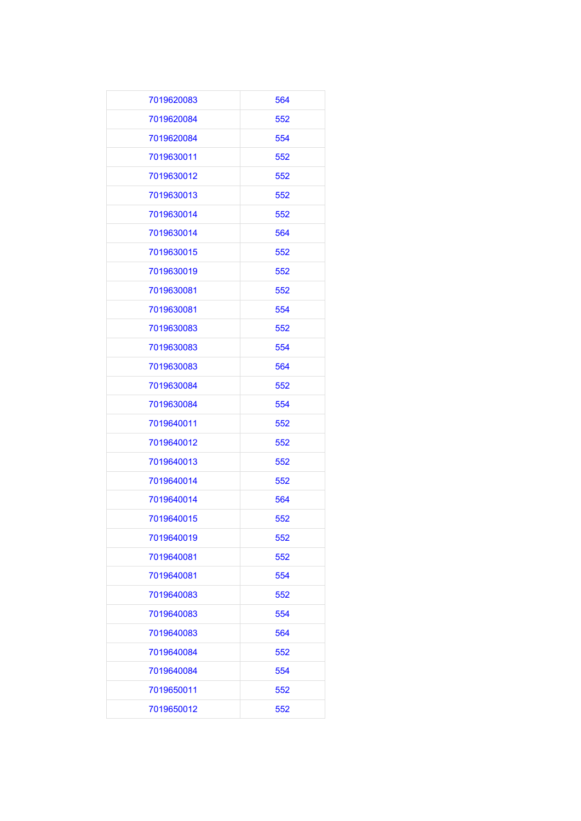| 7019620083 | 564 |
|------------|-----|
| 7019620084 | 552 |
| 7019620084 | 554 |
| 7019630011 | 552 |
| 7019630012 | 552 |
| 7019630013 | 552 |
| 7019630014 | 552 |
| 7019630014 | 564 |
| 7019630015 | 552 |
| 7019630019 | 552 |
| 7019630081 | 552 |
| 7019630081 | 554 |
| 7019630083 | 552 |
| 7019630083 | 554 |
| 7019630083 | 564 |
| 7019630084 | 552 |
| 7019630084 | 554 |
| 7019640011 | 552 |
| 7019640012 | 552 |
| 7019640013 | 552 |
| 7019640014 | 552 |
| 7019640014 | 564 |
| 7019640015 | 552 |
| 7019640019 | 552 |
| 7019640081 | 552 |
| 7019640081 | 554 |
| 7019640083 | 552 |
| 7019640083 | 554 |
| 7019640083 | 564 |
| 7019640084 | 552 |
| 7019640084 | 554 |
| 7019650011 | 552 |
| 7019650012 | 552 |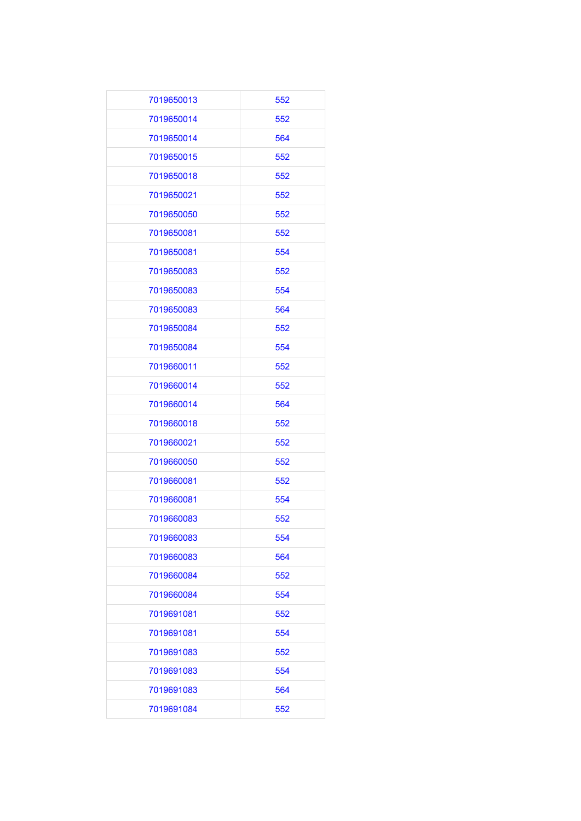| 7019650013 | 552 |
|------------|-----|
| 7019650014 | 552 |
| 7019650014 | 564 |
| 7019650015 | 552 |
| 7019650018 | 552 |
| 7019650021 | 552 |
| 7019650050 | 552 |
| 7019650081 | 552 |
| 7019650081 | 554 |
| 7019650083 | 552 |
| 7019650083 | 554 |
| 7019650083 | 564 |
| 7019650084 | 552 |
| 7019650084 | 554 |
| 7019660011 | 552 |
| 7019660014 | 552 |
| 7019660014 | 564 |
| 7019660018 | 552 |
| 7019660021 | 552 |
| 7019660050 | 552 |
| 7019660081 | 552 |
| 7019660081 | 554 |
| 7019660083 | 552 |
| 7019660083 | 554 |
| 7019660083 | 564 |
| 7019660084 | 552 |
| 7019660084 | 554 |
| 7019691081 | 552 |
| 7019691081 | 554 |
| 7019691083 | 552 |
| 7019691083 | 554 |
| 7019691083 | 564 |
| 7019691084 | 552 |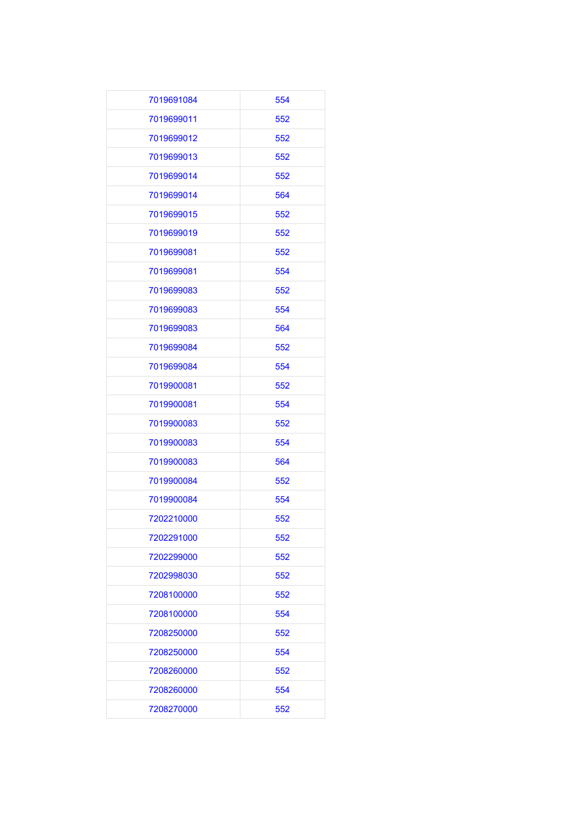| 7019691084 | 554 |
|------------|-----|
| 7019699011 | 552 |
| 7019699012 | 552 |
| 7019699013 | 552 |
| 7019699014 | 552 |
| 7019699014 | 564 |
| 7019699015 | 552 |
| 7019699019 | 552 |
| 7019699081 | 552 |
| 7019699081 | 554 |
| 7019699083 | 552 |
| 7019699083 | 554 |
| 7019699083 | 564 |
| 7019699084 | 552 |
| 7019699084 | 554 |
| 7019900081 | 552 |
| 7019900081 | 554 |
| 7019900083 | 552 |
| 7019900083 | 554 |
| 7019900083 | 564 |
| 7019900084 | 552 |
| 7019900084 | 554 |
| 7202210000 | 552 |
| 7202291000 | 552 |
| 7202299000 | 552 |
| 7202998030 | 552 |
| 7208100000 | 552 |
| 7208100000 | 554 |
| 7208250000 | 552 |
| 7208250000 | 554 |
| 7208260000 | 552 |
| 7208260000 | 554 |
| 7208270000 | 552 |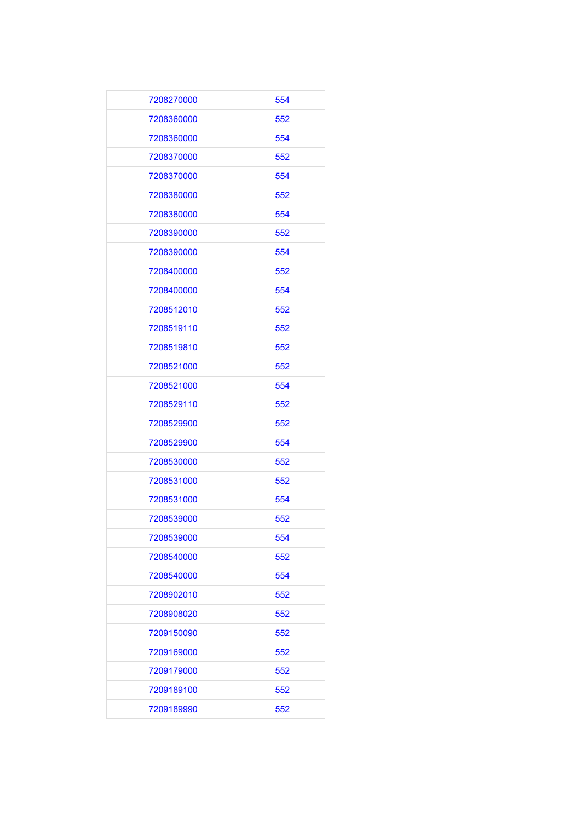| 7208270000 | 554 |
|------------|-----|
| 7208360000 | 552 |
| 7208360000 | 554 |
| 7208370000 | 552 |
| 7208370000 | 554 |
| 7208380000 | 552 |
| 7208380000 | 554 |
| 7208390000 | 552 |
| 7208390000 | 554 |
| 7208400000 | 552 |
| 7208400000 | 554 |
| 7208512010 | 552 |
| 7208519110 | 552 |
| 7208519810 | 552 |
| 7208521000 | 552 |
| 7208521000 | 554 |
| 7208529110 | 552 |
| 7208529900 | 552 |
| 7208529900 | 554 |
| 7208530000 | 552 |
| 7208531000 | 552 |
| 7208531000 | 554 |
| 7208539000 | 552 |
| 7208539000 | 554 |
| 7208540000 | 552 |
| 7208540000 | 554 |
| 7208902010 | 552 |
| 7208908020 | 552 |
| 7209150090 | 552 |
| 7209169000 | 552 |
| 7209179000 | 552 |
| 7209189100 | 552 |
| 7209189990 | 552 |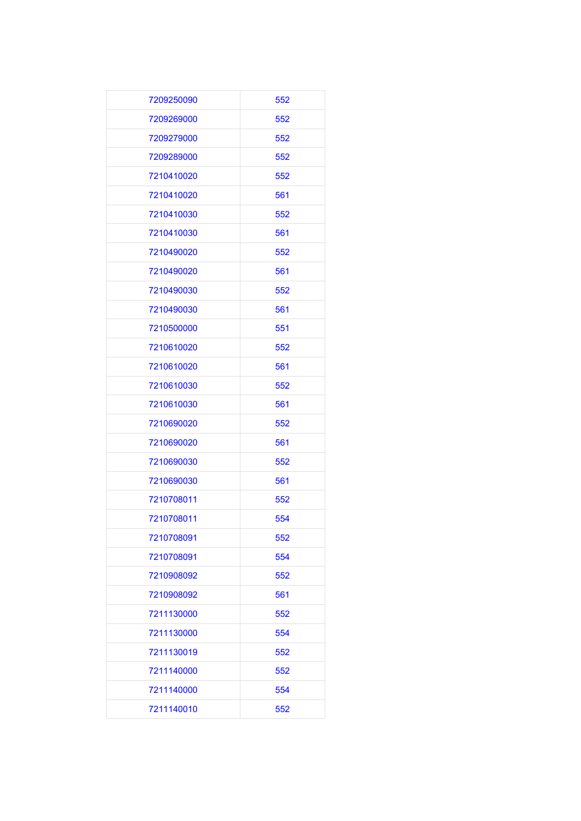| 7209250090 | 552 |
|------------|-----|
| 7209269000 | 552 |
| 7209279000 | 552 |
| 7209289000 | 552 |
| 7210410020 | 552 |
| 7210410020 | 561 |
| 7210410030 | 552 |
| 7210410030 | 561 |
| 7210490020 | 552 |
| 7210490020 | 561 |
| 7210490030 | 552 |
| 7210490030 | 561 |
| 7210500000 | 551 |
| 7210610020 | 552 |
| 7210610020 | 561 |
| 7210610030 | 552 |
| 7210610030 | 561 |
| 7210690020 | 552 |
| 7210690020 | 561 |
| 7210690030 | 552 |
| 7210690030 | 561 |
| 7210708011 | 552 |
| 7210708011 | 554 |
| 7210708091 | 552 |
| 7210708091 | 554 |
| 7210908092 | 552 |
| 7210908092 | 561 |
| 7211130000 | 552 |
| 7211130000 | 554 |
| 7211130019 | 552 |
| 7211140000 | 552 |
| 7211140000 | 554 |
| 7211140010 | 552 |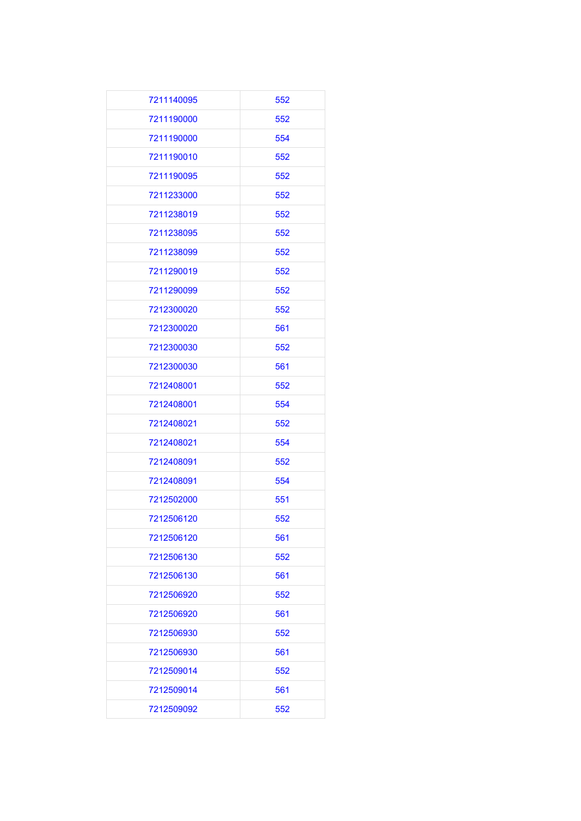| 7211140095 | 552 |
|------------|-----|
| 7211190000 | 552 |
| 7211190000 | 554 |
| 7211190010 | 552 |
| 7211190095 | 552 |
| 7211233000 | 552 |
| 7211238019 | 552 |
| 7211238095 | 552 |
| 7211238099 | 552 |
| 7211290019 | 552 |
| 7211290099 | 552 |
| 7212300020 | 552 |
| 7212300020 | 561 |
| 7212300030 | 552 |
| 7212300030 | 561 |
| 7212408001 | 552 |
| 7212408001 | 554 |
| 7212408021 | 552 |
| 7212408021 | 554 |
| 7212408091 | 552 |
| 7212408091 | 554 |
| 7212502000 | 551 |
| 7212506120 | 552 |
| 7212506120 | 561 |
| 7212506130 | 552 |
| 7212506130 | 561 |
| 7212506920 | 552 |
| 7212506920 | 561 |
| 7212506930 | 552 |
| 7212506930 | 561 |
| 7212509014 | 552 |
| 7212509014 | 561 |
| 7212509092 | 552 |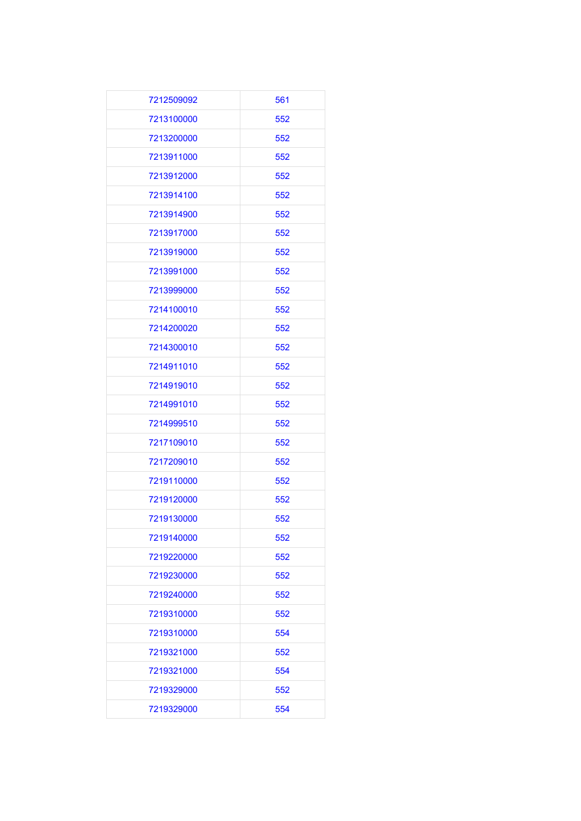| 7212509092 | 561 |
|------------|-----|
| 7213100000 | 552 |
| 7213200000 | 552 |
| 7213911000 | 552 |
| 7213912000 | 552 |
| 7213914100 | 552 |
| 7213914900 | 552 |
| 7213917000 | 552 |
| 7213919000 | 552 |
| 7213991000 | 552 |
| 7213999000 | 552 |
| 7214100010 | 552 |
| 7214200020 | 552 |
| 7214300010 | 552 |
| 7214911010 | 552 |
| 7214919010 | 552 |
| 7214991010 | 552 |
| 7214999510 | 552 |
| 7217109010 | 552 |
| 7217209010 | 552 |
| 7219110000 | 552 |
| 7219120000 | 552 |
| 7219130000 | 552 |
| 7219140000 | 552 |
| 7219220000 | 552 |
| 7219230000 | 552 |
| 7219240000 | 552 |
| 7219310000 | 552 |
| 7219310000 | 554 |
| 7219321000 | 552 |
| 7219321000 | 554 |
| 7219329000 | 552 |
| 7219329000 | 554 |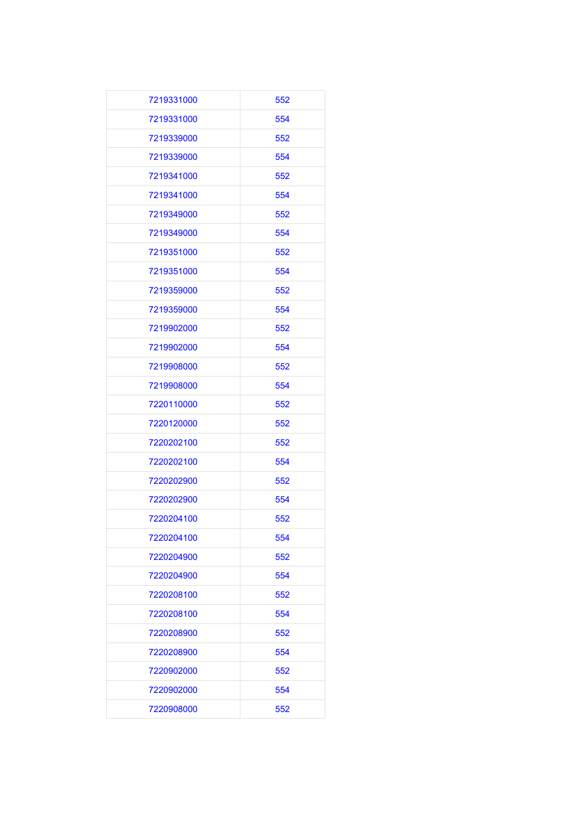| 7219331000 | 552 |
|------------|-----|
| 7219331000 | 554 |
| 7219339000 | 552 |
| 7219339000 | 554 |
| 7219341000 | 552 |
| 7219341000 | 554 |
| 7219349000 | 552 |
| 7219349000 | 554 |
| 7219351000 | 552 |
| 7219351000 | 554 |
| 7219359000 | 552 |
| 7219359000 | 554 |
| 7219902000 | 552 |
| 7219902000 | 554 |
| 7219908000 | 552 |
| 7219908000 | 554 |
| 7220110000 | 552 |
| 7220120000 | 552 |
| 7220202100 | 552 |
| 7220202100 | 554 |
| 7220202900 | 552 |
| 7220202900 | 554 |
| 7220204100 | 552 |
| 7220204100 | 554 |
| 7220204900 | 552 |
| 7220204900 | 554 |
| 7220208100 | 552 |
| 7220208100 | 554 |
| 7220208900 | 552 |
| 7220208900 | 554 |
| 7220902000 | 552 |
| 7220902000 | 554 |
| 7220908000 | 552 |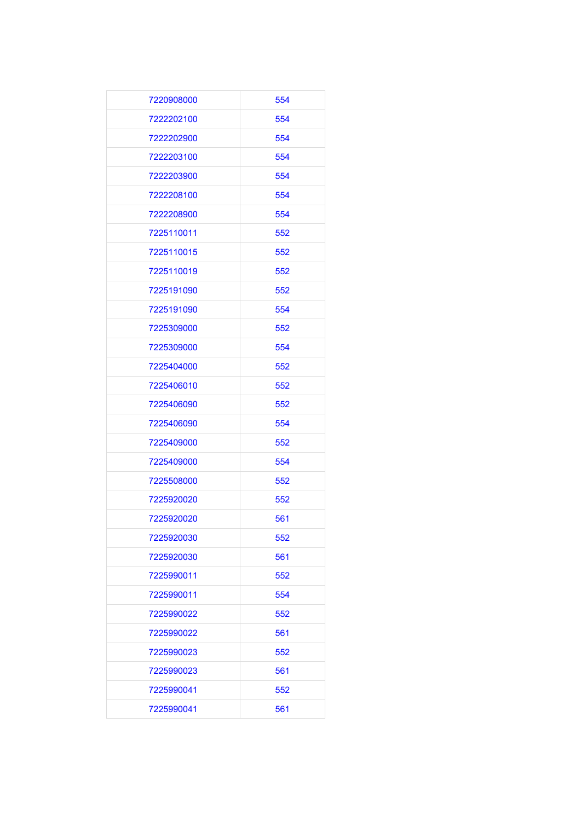| 7220908000 | 554 |
|------------|-----|
| 7222202100 | 554 |
| 7222202900 | 554 |
| 7222203100 | 554 |
| 7222203900 | 554 |
| 7222208100 | 554 |
| 7222208900 | 554 |
| 7225110011 | 552 |
| 7225110015 | 552 |
| 7225110019 | 552 |
| 7225191090 | 552 |
| 7225191090 | 554 |
| 7225309000 | 552 |
| 7225309000 | 554 |
| 7225404000 | 552 |
| 7225406010 | 552 |
| 7225406090 | 552 |
| 7225406090 | 554 |
| 7225409000 | 552 |
| 7225409000 | 554 |
| 7225508000 | 552 |
| 7225920020 | 552 |
| 7225920020 | 561 |
| 7225920030 | 552 |
| 7225920030 | 561 |
| 7225990011 | 552 |
| 7225990011 | 554 |
| 7225990022 | 552 |
| 7225990022 | 561 |
| 7225990023 | 552 |
| 7225990023 | 561 |
| 7225990041 | 552 |
| 7225990041 | 561 |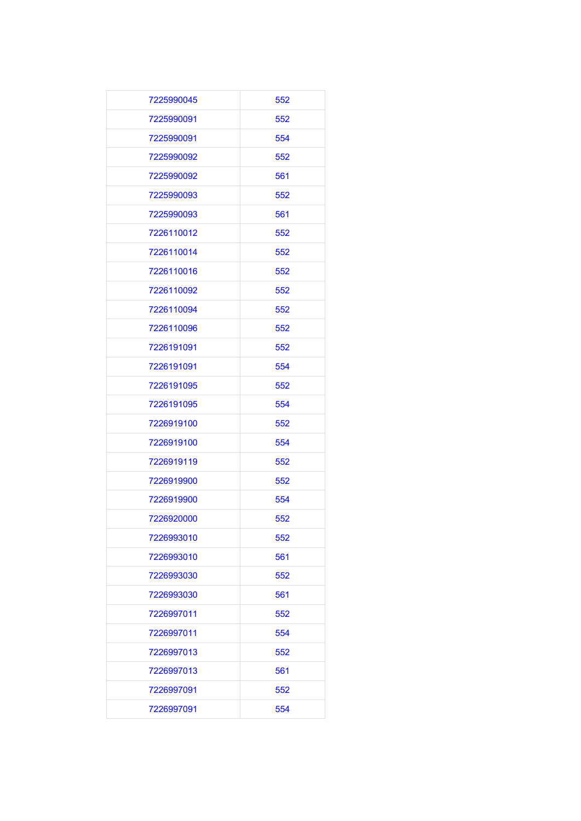| 7225990045 | 552 |
|------------|-----|
| 7225990091 | 552 |
| 7225990091 | 554 |
| 7225990092 | 552 |
| 7225990092 | 561 |
| 7225990093 | 552 |
| 7225990093 | 561 |
| 7226110012 | 552 |
| 7226110014 | 552 |
| 7226110016 | 552 |
| 7226110092 | 552 |
| 7226110094 | 552 |
| 7226110096 | 552 |
| 7226191091 | 552 |
| 7226191091 | 554 |
| 7226191095 | 552 |
| 7226191095 | 554 |
| 7226919100 | 552 |
| 7226919100 | 554 |
| 7226919119 | 552 |
| 7226919900 | 552 |
| 7226919900 | 554 |
| 7226920000 | 552 |
| 7226993010 | 552 |
| 7226993010 | 561 |
| 7226993030 | 552 |
| 7226993030 | 561 |
| 7226997011 | 552 |
| 7226997011 | 554 |
| 7226997013 | 552 |
| 7226997013 | 561 |
| 7226997091 | 552 |
| 7226997091 | 554 |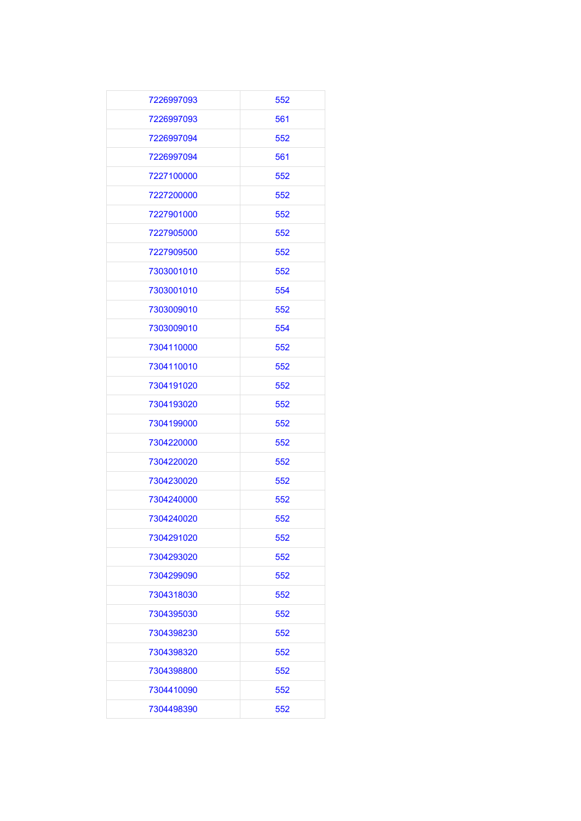| 7226997093 | 552 |
|------------|-----|
| 7226997093 | 561 |
| 7226997094 | 552 |
| 7226997094 | 561 |
| 7227100000 | 552 |
| 7227200000 | 552 |
| 7227901000 | 552 |
| 7227905000 | 552 |
| 7227909500 | 552 |
| 7303001010 | 552 |
| 7303001010 | 554 |
| 7303009010 | 552 |
| 7303009010 | 554 |
| 7304110000 | 552 |
| 7304110010 | 552 |
| 7304191020 | 552 |
| 7304193020 | 552 |
| 7304199000 | 552 |
| 7304220000 | 552 |
| 7304220020 | 552 |
| 7304230020 | 552 |
| 7304240000 | 552 |
| 7304240020 | 552 |
| 7304291020 | 552 |
| 7304293020 | 552 |
| 7304299090 | 552 |
| 7304318030 | 552 |
| 7304395030 | 552 |
| 7304398230 | 552 |
| 7304398320 | 552 |
| 7304398800 | 552 |
| 7304410090 | 552 |
| 7304498390 | 552 |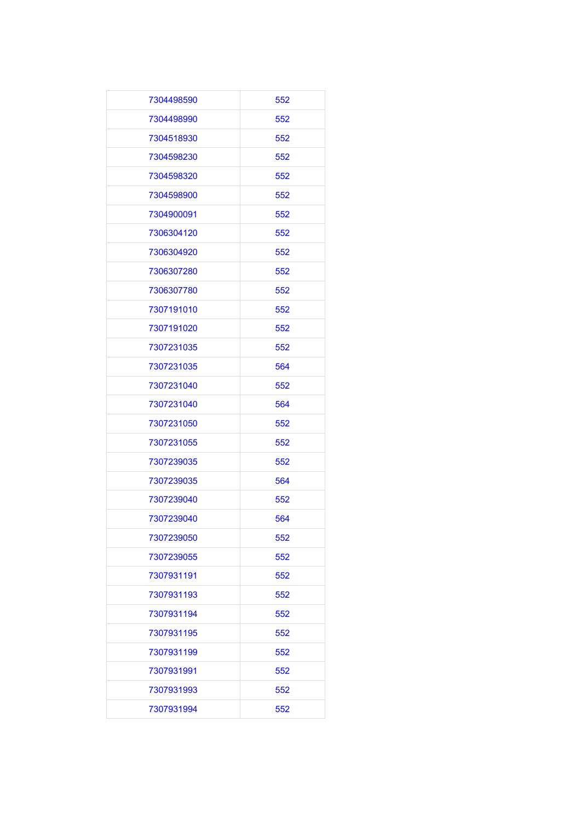| 7304498590 | 552 |
|------------|-----|
| 7304498990 | 552 |
| 7304518930 | 552 |
| 7304598230 | 552 |
| 7304598320 | 552 |
| 7304598900 | 552 |
| 7304900091 | 552 |
| 7306304120 | 552 |
| 7306304920 | 552 |
| 7306307280 | 552 |
| 7306307780 | 552 |
| 7307191010 | 552 |
| 7307191020 | 552 |
| 7307231035 | 552 |
| 7307231035 | 564 |
| 7307231040 | 552 |
| 7307231040 | 564 |
| 7307231050 | 552 |
| 7307231055 | 552 |
| 7307239035 | 552 |
| 7307239035 | 564 |
| 7307239040 | 552 |
| 7307239040 | 564 |
| 7307239050 | 552 |
| 7307239055 | 552 |
| 7307931191 | 552 |
| 7307931193 | 552 |
| 7307931194 | 552 |
| 7307931195 | 552 |
| 7307931199 | 552 |
| 7307931991 | 552 |
| 7307931993 | 552 |
| 7307931994 | 552 |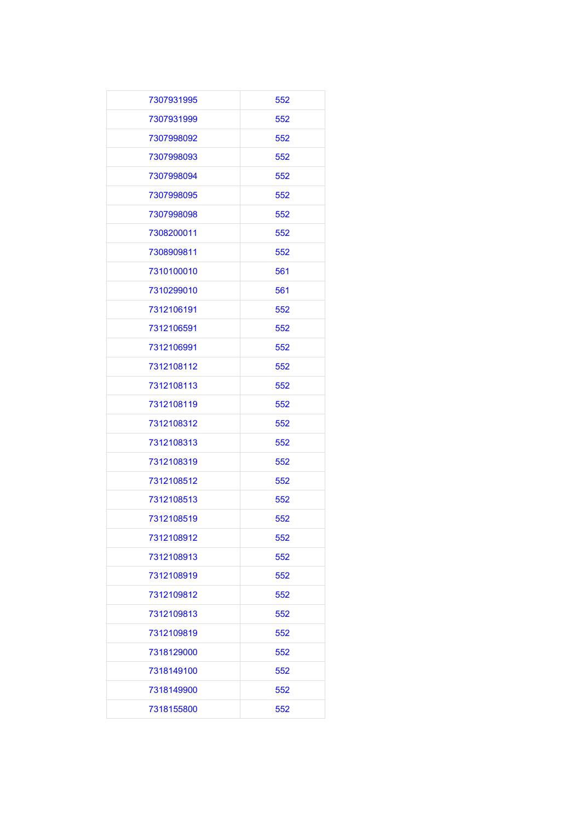| 7307931995 | 552 |
|------------|-----|
| 7307931999 | 552 |
| 7307998092 | 552 |
| 7307998093 | 552 |
| 7307998094 | 552 |
| 7307998095 | 552 |
| 7307998098 | 552 |
| 7308200011 | 552 |
| 7308909811 | 552 |
| 7310100010 | 561 |
| 7310299010 | 561 |
| 7312106191 | 552 |
| 7312106591 | 552 |
| 7312106991 | 552 |
| 7312108112 | 552 |
| 7312108113 | 552 |
| 7312108119 | 552 |
| 7312108312 | 552 |
| 7312108313 | 552 |
| 7312108319 | 552 |
| 7312108512 | 552 |
| 7312108513 | 552 |
| 7312108519 | 552 |
| 7312108912 | 552 |
| 7312108913 | 552 |
| 7312108919 | 552 |
| 7312109812 | 552 |
| 7312109813 | 552 |
| 7312109819 | 552 |
| 7318129000 | 552 |
| 7318149100 | 552 |
| 7318149900 | 552 |
| 7318155800 | 552 |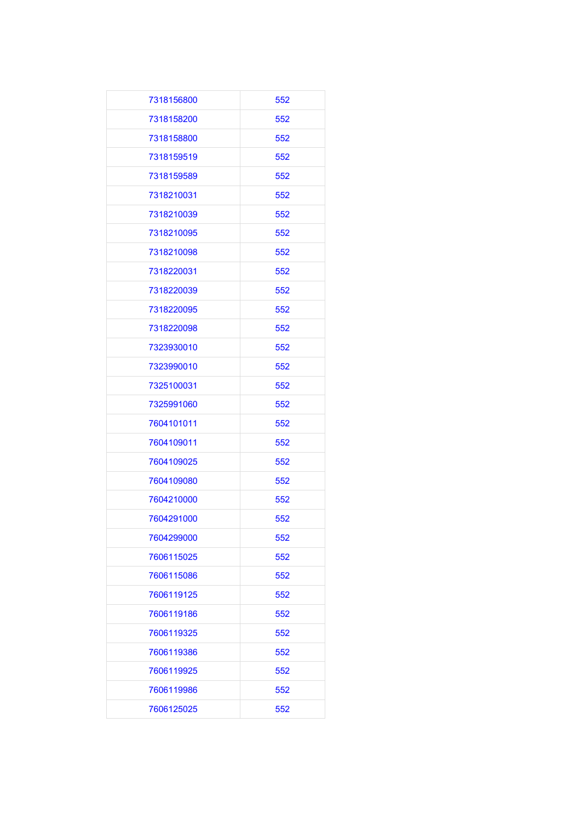| 7318156800 | 552 |
|------------|-----|
| 7318158200 | 552 |
| 7318158800 | 552 |
| 7318159519 | 552 |
| 7318159589 | 552 |
| 7318210031 | 552 |
| 7318210039 | 552 |
| 7318210095 | 552 |
| 7318210098 | 552 |
| 7318220031 | 552 |
| 7318220039 | 552 |
| 7318220095 | 552 |
| 7318220098 | 552 |
| 7323930010 | 552 |
| 7323990010 | 552 |
| 7325100031 | 552 |
| 7325991060 | 552 |
| 7604101011 | 552 |
| 7604109011 | 552 |
| 7604109025 | 552 |
| 7604109080 | 552 |
| 7604210000 | 552 |
| 7604291000 | 552 |
| 7604299000 | 552 |
| 7606115025 | 552 |
| 7606115086 | 552 |
| 7606119125 | 552 |
| 7606119186 | 552 |
| 7606119325 | 552 |
| 7606119386 | 552 |
| 7606119925 | 552 |
| 7606119986 | 552 |
| 7606125025 | 552 |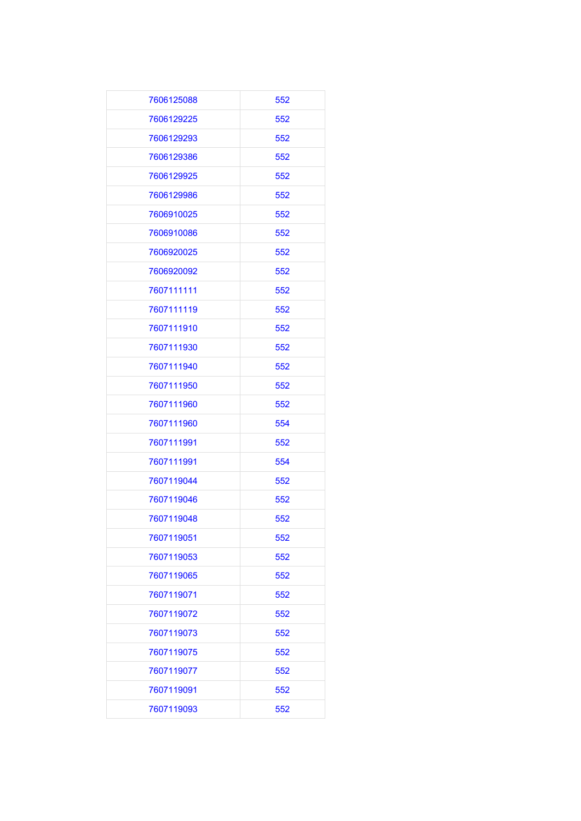| 7606125088 | 552 |
|------------|-----|
| 7606129225 | 552 |
| 7606129293 | 552 |
| 7606129386 | 552 |
| 7606129925 | 552 |
| 7606129986 | 552 |
| 7606910025 | 552 |
| 7606910086 | 552 |
| 7606920025 | 552 |
| 7606920092 | 552 |
| 7607111111 | 552 |
| 7607111119 | 552 |
| 7607111910 | 552 |
| 7607111930 | 552 |
| 7607111940 | 552 |
| 7607111950 | 552 |
| 7607111960 | 552 |
| 7607111960 | 554 |
| 7607111991 | 552 |
| 7607111991 | 554 |
| 7607119044 | 552 |
| 7607119046 | 552 |
| 7607119048 | 552 |
| 7607119051 | 552 |
| 7607119053 | 552 |
| 7607119065 | 552 |
| 7607119071 | 552 |
| 7607119072 | 552 |
| 7607119073 | 552 |
| 7607119075 | 552 |
| 7607119077 | 552 |
| 7607119091 | 552 |
| 7607119093 | 552 |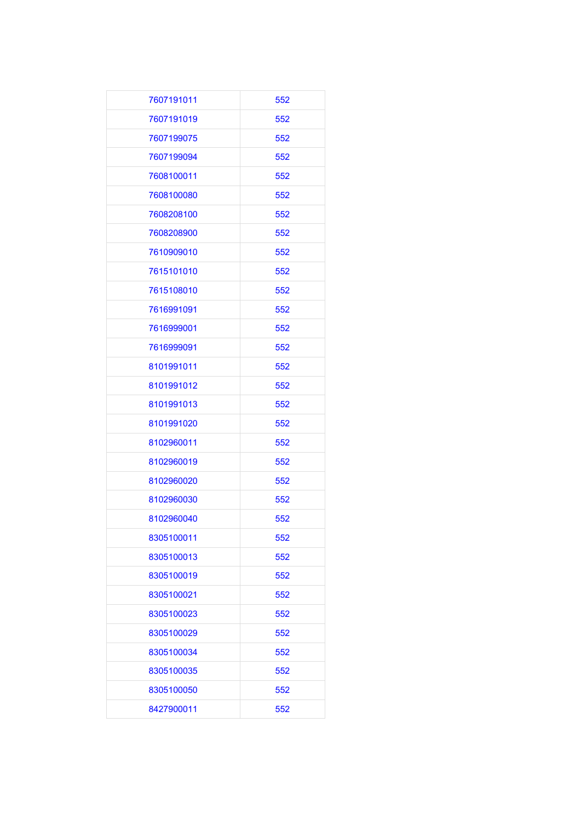| 7607191011 | 552 |
|------------|-----|
| 7607191019 | 552 |
| 7607199075 | 552 |
| 7607199094 | 552 |
| 7608100011 | 552 |
| 7608100080 | 552 |
| 7608208100 | 552 |
| 7608208900 | 552 |
| 7610909010 | 552 |
| 7615101010 | 552 |
| 7615108010 | 552 |
| 7616991091 | 552 |
| 7616999001 | 552 |
| 7616999091 | 552 |
| 8101991011 | 552 |
| 8101991012 | 552 |
| 8101991013 | 552 |
| 8101991020 | 552 |
| 8102960011 | 552 |
| 8102960019 | 552 |
| 8102960020 | 552 |
| 8102960030 | 552 |
| 8102960040 | 552 |
| 8305100011 | 552 |
| 8305100013 | 552 |
| 8305100019 | 552 |
| 8305100021 | 552 |
| 8305100023 | 552 |
| 8305100029 | 552 |
| 8305100034 | 552 |
| 8305100035 | 552 |
| 8305100050 | 552 |
| 8427900011 | 552 |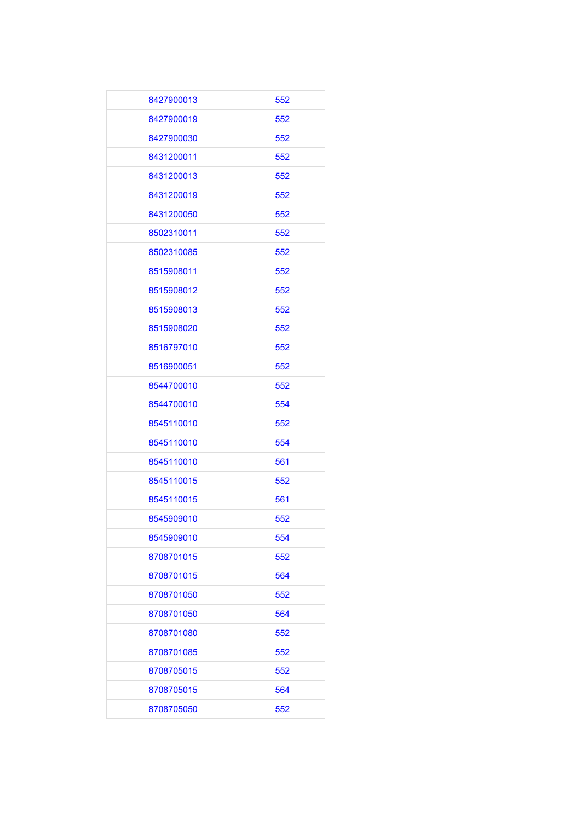| 8427900013 | 552 |
|------------|-----|
| 8427900019 | 552 |
| 8427900030 | 552 |
| 8431200011 | 552 |
| 8431200013 | 552 |
| 8431200019 | 552 |
| 8431200050 | 552 |
| 8502310011 | 552 |
| 8502310085 | 552 |
| 8515908011 | 552 |
| 8515908012 | 552 |
| 8515908013 | 552 |
| 8515908020 | 552 |
| 8516797010 | 552 |
| 8516900051 | 552 |
| 8544700010 | 552 |
| 8544700010 | 554 |
| 8545110010 | 552 |
| 8545110010 | 554 |
| 8545110010 | 561 |
| 8545110015 | 552 |
| 8545110015 | 561 |
| 8545909010 | 552 |
| 8545909010 | 554 |
| 8708701015 | 552 |
| 8708701015 | 564 |
| 8708701050 | 552 |
| 8708701050 | 564 |
| 8708701080 | 552 |
| 8708701085 | 552 |
| 8708705015 | 552 |
| 8708705015 | 564 |
| 8708705050 | 552 |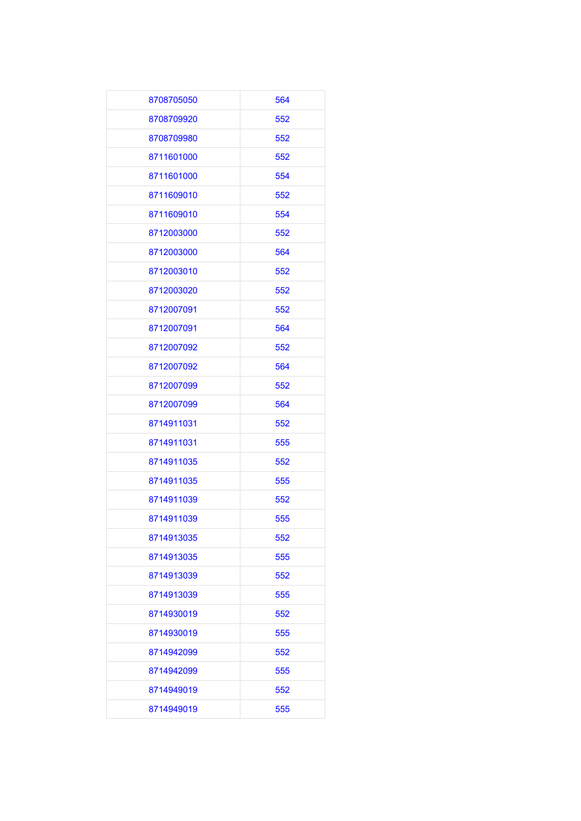| 8708705050 | 564 |
|------------|-----|
| 8708709920 | 552 |
| 8708709980 | 552 |
| 8711601000 | 552 |
| 8711601000 | 554 |
| 8711609010 | 552 |
| 8711609010 | 554 |
| 8712003000 | 552 |
| 8712003000 | 564 |
| 8712003010 | 552 |
| 8712003020 | 552 |
| 8712007091 | 552 |
| 8712007091 | 564 |
| 8712007092 | 552 |
| 8712007092 | 564 |
| 8712007099 | 552 |
| 8712007099 | 564 |
| 8714911031 | 552 |
| 8714911031 | 555 |
| 8714911035 | 552 |
| 8714911035 | 555 |
| 8714911039 | 552 |
| 8714911039 | 555 |
| 8714913035 | 552 |
| 8714913035 | 555 |
| 8714913039 | 552 |
| 8714913039 | 555 |
| 8714930019 | 552 |
| 8714930019 | 555 |
| 8714942099 | 552 |
| 8714942099 | 555 |
| 8714949019 | 552 |
| 8714949019 | 555 |